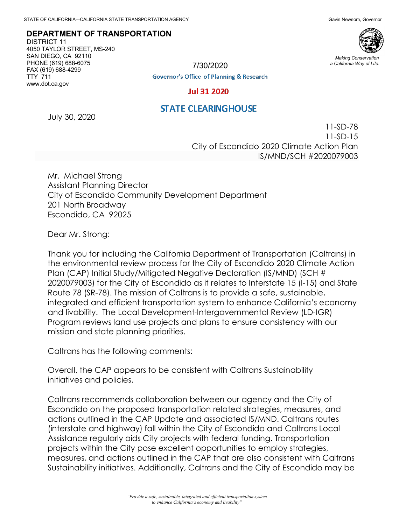## **DEPARTMENT OF TRANSPORTATION**

DISTRICT 11 4050 TAYLOR STREET, MS-240 SAN DIEGO, CA 92110 PHONE (619) 688-6075 FAX (619) 688-4299 TTY 711 www.dot.ca.gov



*Making Conservation a California Way of Life.*

7/30/2020

**Governor's Office of Planning & Research** 

**Jul 31 2020** 

## **STATE CLEARINGHOUSE**

July 30, 2020

11-SD-78 11-SD-15 City of Escondido 2020 Climate Action Plan IS/MND/SCH #2020079003

Mr. Michael Strong Assistant Planning Director City of Escondido Community Development Department 201 North Broadway Escondido, CA 92025

Dear Mr. Strong:

Thank you for including the California Department of Transportation (Caltrans) in the environmental review process for the City of Escondido 2020 Climate Action Plan (CAP) Initial Study/Mitigated Negative Declaration (IS/MND) (SCH # 2020079003) for the City of Escondido as it relates to Interstate 15 (I-15) and State Route 78 (SR-78). The mission of Caltrans is to provide a safe, sustainable, integrated and efficient transportation system to enhance California's economy and livability. The Local Development‐Intergovernmental Review (LD‐IGR) Program reviews land use projects and plans to ensure consistency with our mission and state planning priorities.

Caltrans has the following comments:

Overall, the CAP appears to be consistent with Caltrans Sustainability initiatives and policies.

Caltrans recommends collaboration between our agency and the City of Escondido on the proposed transportation related strategies, measures, and actions outlined in the CAP Update and associated IS/MND. Caltrans routes (interstate and highway) fall within the City of Escondido and Caltrans Local Assistance regularly aids City projects with federal funding. Transportation projects within the City pose excellent opportunities to employ strategies, measures, and actions outlined in the CAP that are also consistent with Caltrans Sustainability initiatives. Additionally, Caltrans and the City of Escondido may be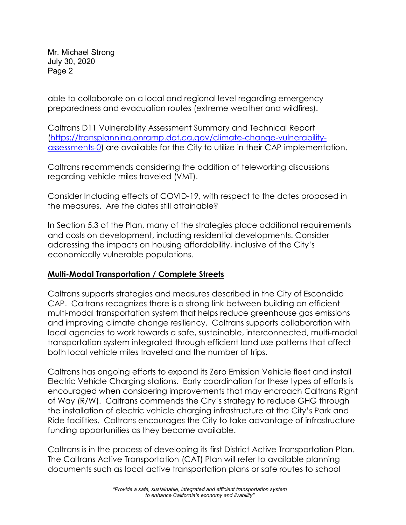Mr. Michael Strong July 30, 2020 Page 2

able to collaborate on a local and regional level regarding emergency preparedness and evacuation routes (extreme weather and wildfires).

Caltrans D11 Vulnerability Assessment Summary and Technical Report [\(https://transplanning.onramp.dot.ca.gov/climate-change-vulnerability](https://transplanning.onramp.dot.ca.gov/climate-change-vulnerability-assessments-0)[assessments-0\)](https://transplanning.onramp.dot.ca.gov/climate-change-vulnerability-assessments-0) are available for the City to utilize in their CAP implementation.

Caltrans recommends considering the addition of teleworking discussions regarding vehicle miles traveled (VMT).

Consider Including effects of COVID-19, with respect to the dates proposed in the measures. Are the dates still attainable?

In Section 5.3 of the Plan, many of the strategies place additional requirements and costs on development, including residential developments. Consider addressing the impacts on housing affordability, inclusive of the City's economically vulnerable populations.

## **Multi-Modal Transportation / Complete Streets**

Caltrans supports strategies and measures described in the City of Escondido CAP. Caltrans recognizes there is a strong link between building an efficient multi-modal transportation system that helps reduce greenhouse gas emissions and improving climate change resiliency. Caltrans supports collaboration with local agencies to work towards a safe, sustainable, interconnected, multi-modal transportation system integrated through efficient land use patterns that affect both local vehicle miles traveled and the number of trips.

Caltrans has ongoing efforts to expand its Zero Emission Vehicle fleet and install Electric Vehicle Charging stations. Early coordination for these types of efforts is encouraged when considering improvements that may encroach Caltrans Right of Way (R/W). Caltrans commends the City's strategy to reduce GHG through the installation of electric vehicle charging infrastructure at the City's Park and Ride facilities. Caltrans encourages the City to take advantage of infrastructure funding opportunities as they become available.

Caltrans is in the process of developing its first District Active Transportation Plan. The Caltrans Active Transportation (CAT) Plan will refer to available planning documents such as local active transportation plans or safe routes to school